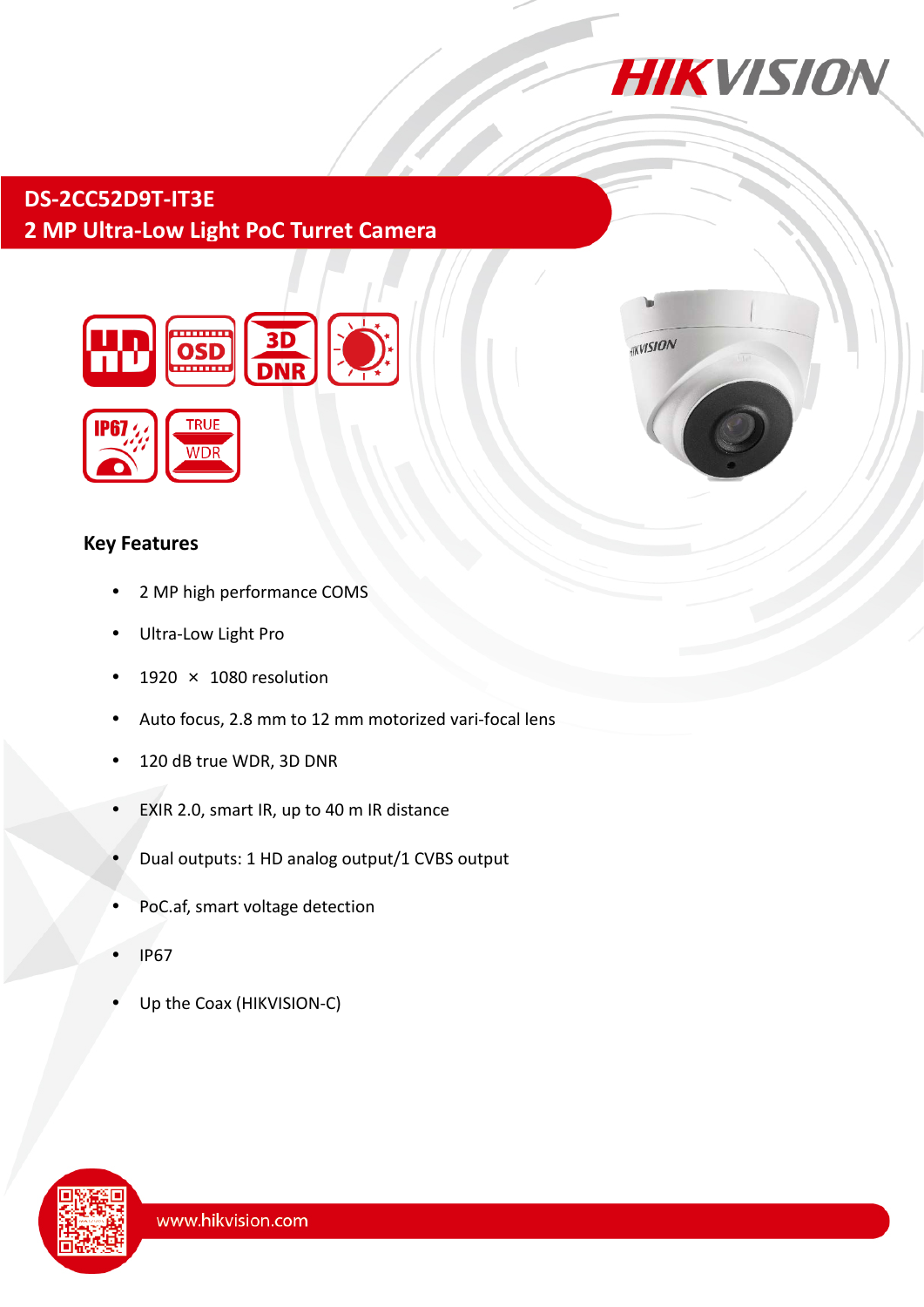

# **DS-2CC52D9T-IT3E 2 MP Ultra-Low Light PoC Turret Camera**



### **Key Features**

- 2 MP high performance COMS
- Ultra-Low Light Pro
- $\cdot$  1920  $\times$  1080 resolution
- Auto focus, 2.8 mm to 12 mm motorized vari-focal lens
- 120 dB true WDR, 3D DNR
- EXIR 2.0, smart IR, up to 40 m IR distance
- Dual outputs: 1 HD analog output/1 CVBS output
- PoC.af, smart voltage detection
- IP67
- Up the Coax (HIKVISION-C)



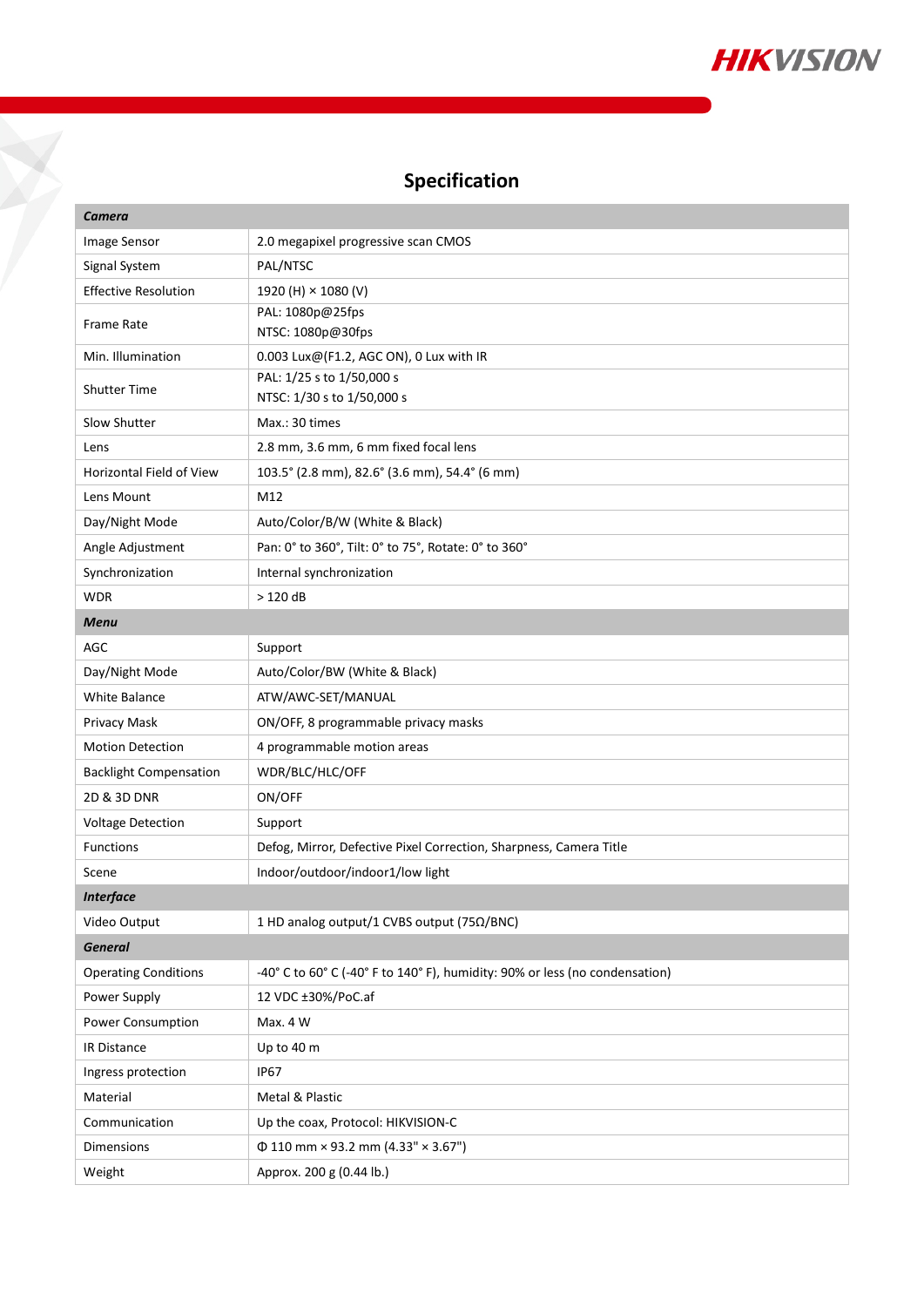

# **Specification**

X

| Camera                          |                                                                             |
|---------------------------------|-----------------------------------------------------------------------------|
| Image Sensor                    | 2.0 megapixel progressive scan CMOS                                         |
| Signal System                   | PAL/NTSC                                                                    |
| <b>Effective Resolution</b>     | 1920 (H) × 1080 (V)                                                         |
| <b>Frame Rate</b>               | PAL: 1080p@25fps                                                            |
|                                 | NTSC: 1080p@30fps                                                           |
| Min. Illumination               | 0.003 Lux@(F1.2, AGC ON), 0 Lux with IR                                     |
| <b>Shutter Time</b>             | PAL: 1/25 s to 1/50,000 s<br>NTSC: 1/30 s to 1/50,000 s                     |
| Slow Shutter                    | Max.: 30 times                                                              |
| Lens                            | 2.8 mm, 3.6 mm, 6 mm fixed focal lens                                       |
| <b>Horizontal Field of View</b> | 103.5° (2.8 mm), 82.6° (3.6 mm), 54.4° (6 mm)                               |
| Lens Mount                      | M12                                                                         |
| Day/Night Mode                  | Auto/Color/B/W (White & Black)                                              |
| Angle Adjustment                | Pan: 0° to 360°, Tilt: 0° to 75°, Rotate: 0° to 360°                        |
| Synchronization                 | Internal synchronization                                                    |
| <b>WDR</b>                      | >120dB                                                                      |
| <b>Menu</b>                     |                                                                             |
| <b>AGC</b>                      | Support                                                                     |
| Day/Night Mode                  | Auto/Color/BW (White & Black)                                               |
| <b>White Balance</b>            | ATW/AWC-SET/MANUAL                                                          |
| Privacy Mask                    | ON/OFF, 8 programmable privacy masks                                        |
| <b>Motion Detection</b>         | 4 programmable motion areas                                                 |
| <b>Backlight Compensation</b>   | WDR/BLC/HLC/OFF                                                             |
| 2D & 3D DNR                     | ON/OFF                                                                      |
| <b>Voltage Detection</b>        | Support                                                                     |
| <b>Functions</b>                | Defog, Mirror, Defective Pixel Correction, Sharpness, Camera Title          |
| Scene                           | Indoor/outdoor/indoor1/low light                                            |
| <b>Interface</b>                |                                                                             |
| Video Output                    | 1 HD analog output/1 CVBS output (75Ω/BNC)                                  |
| <b>General</b>                  |                                                                             |
| <b>Operating Conditions</b>     | -40° C to 60° C (-40° F to 140° F), humidity: 90% or less (no condensation) |
| Power Supply                    | 12 VDC ±30%/PoC.af                                                          |
| Power Consumption               | Max. 4 W                                                                    |
| IR Distance                     | Up to 40 m                                                                  |
| Ingress protection              | <b>IP67</b>                                                                 |
| Material                        | Metal & Plastic                                                             |
| Communication                   | Up the coax, Protocol: HIKVISION-C                                          |
| Dimensions                      | $\Phi$ 110 mm × 93.2 mm (4.33" × 3.67")                                     |
| Weight                          | Approx. 200 g (0.44 lb.)                                                    |